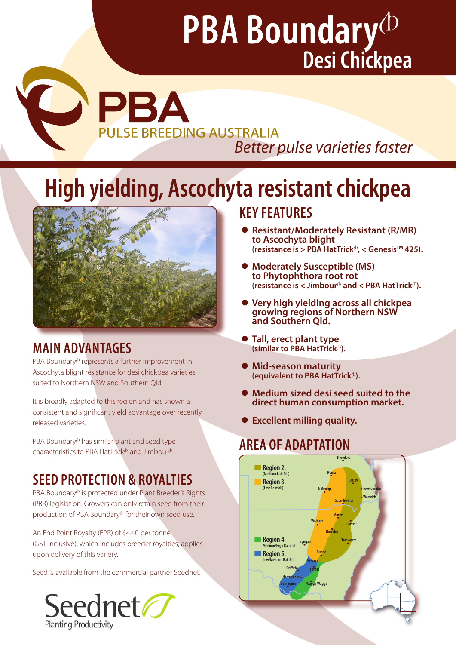PBA **PULSE BREEDING AUSTRALIA** *Better pulse varieties faster* 

# **High yielding, Ascochyta resistant chickpea**



# **MAIN ADVANTAGES**

O

PBA Boundary<sup>®</sup> represents a further improvement in Ascochyta blight resistance for desi chickpea varieties suited to Northern NSW and Southern Qld.

It is broadly adapted to this region and has shown a consistent and significant yield advantage over recently released varieties.

PBA Boundary $\Phi$  has similar plant and seed type characteristics to PBA HatTrick $\Phi$  and Jimbour $\Phi$ .

# **SEED PROTECTION & ROYALTIES**

PBA Boundary<sup>®</sup> is protected under Plant Breeder's Rights (PBR) legislation. Growers can only retain seed from their production of PBA Boundary<sup>®</sup> for their own seed use.

An End Point Royalty (EPR) of \$4.40 per tonne (GST inclusive), which includes breeder royalties, applies upon delivery of this variety.

Seed is available from the commercial partner Seednet.



## **KEY FEATURES**

- Resistant/Moderately Resistant (R/MR) to Ascochyta blight **(resistance is > PBA HatTrick**<sup>⊕</sup>, < Genesis™ 425).
- **Moderately Susceptible (MS)** to Phytophthora root rot **the limit (resistance is < Jimbour**<sup> $\Phi$ </sup> and < PBA HatTrick $\Phi$ ).
- <sup>z</sup> **Very high yielding across all chickpea growing regions of Northern NSW and Southern Qld.**
- **z Tall, erect plant type** (similar to PBA HatTrick<sup>(b)</sup>.
- **e** Mid-season maturity<br>(equivalent to PBA HatTrick<sup>®</sup>).
- z **Medium sized desi seed suited to the direct human consumption market.**
- z **Excellent milling quality.**

## **AREA OF ADAPTATION**

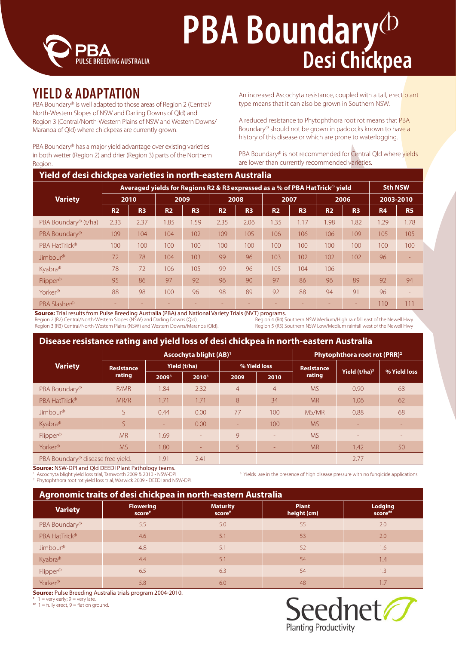

## **YIELD & ADAPTATION**

PBA Boundary<sup>®</sup> is well adapted to those areas of Region 2 (Central/ North-Western Slopes of NSW and Darling Downs of Qld) and Region 3 (Central/North-Western Plains of NSW and Western Downs/ Maranoa of Qld) where chickpeas are currently grown.

PBA Boundary<sup>®</sup> has a major yield advantage over existing varieties in both wetter (Region 2) and drier (Region 3) parts of the Northern Region.

An increased Ascochyta resistance, coupled with a tall, erect plant type means that it can also be grown in Southern NSW.

A reduced resistance to Phytophthora root rot means that PBA Boundary<sup>®</sup> should not be grown in paddocks known to have a history of this disease or which are prone to waterlogging.

PBA Boundary<sup>®</sup> is not recommended for Central Qld where yields are lower than currently recommended varieties.

|                                  | Averaged yields for Regions R2 & R3 expressed as a % of PBA HatTrick <sup><math>\phi</math></sup> yield |                |                |                |                |                |                | <b>Sth NSW</b> |           |                |           |           |
|----------------------------------|---------------------------------------------------------------------------------------------------------|----------------|----------------|----------------|----------------|----------------|----------------|----------------|-----------|----------------|-----------|-----------|
| <b>Variety</b>                   |                                                                                                         | 2010           |                | 2009           |                | 2008           |                | 2007           |           | 2006           |           | 2003-2010 |
|                                  | <b>R2</b>                                                                                               | R <sub>3</sub> | R <sub>2</sub> | R <sub>3</sub> | R <sub>2</sub> | R <sub>3</sub> | R <sub>2</sub> | R <sub>3</sub> | <b>R2</b> | R <sub>3</sub> | <b>R4</b> | <b>R5</b> |
| PBA Boundary <sup>®</sup> (t/ha) | 2.33                                                                                                    | 2.37           | 1.85           | .59            | 2.35           | 2.06           | 1.35           | 1.17           | 1.98      | .82            | 1.29      | 1.78      |
| PBA Boundary <sup>®</sup>        | 109                                                                                                     | 104            | 104            | 102            | 109            | 105            | 106            | 106            | 106       | 109            | 105       | 105       |
| PBA HatTrick <sup>®</sup>        | 100                                                                                                     | 100            | 100            | 100            | 100            | 100            | 100            | 100            | 100       | 100            | 100       | 100       |
| Jimbour <sup>®</sup>             | 72                                                                                                      | 78             | 104            | 103            | 99             | 96             | 103            | 102            | 102       | 102            | 96        |           |
| Kyabra <sup>®</sup>              | 78                                                                                                      | 72             | 106            | 105            | 99             | 96             | 105            | 104            | 106       |                |           |           |
| Flipper <sup>®</sup>             | 95                                                                                                      | 86             | 97             | 92             | 96             | 90             | 97             | 86             | 96        | 89             | 92        | 94        |
| Yorker <sup>®</sup>              | 88                                                                                                      | 98             | 100            | 96             | 98             | 89             | 92             | 88             | 94        | 91             | 96        |           |
| PBA Slasher <sup>®</sup>         |                                                                                                         |                |                |                |                |                |                |                |           | ٠              | 110       | 111       |

**Source:** Trial results from Pulse Breeding Australia (PBA) and National Variety Trials (NVT) programs.<br>Region 2 (R2) Central/North-Western Slopes (NSW) and Darling Downs (Qld).<br>Region 4 (R4) Southern NSW Medium/High rainf

Region 2 (R2) Central/North-Western Slopes (NSW) and Darling Downs (Qld). Region 3 (R3) Central/North-Western Plains (NSW) and Western Downs/Maranoa (Qld). Region 5 (R5) Southern NSW Low/Medium rainfall west of the Newell Hwy

### **Disease resistance rating and yield loss of desi chickpea in north-eastern Australia**

|                                               |                   |              | Ascochyta blight (AB) <sup>1</sup> | Phytophthora root rot (PRR) <sup>2</sup> |                |                   |                           |              |
|-----------------------------------------------|-------------------|--------------|------------------------------------|------------------------------------------|----------------|-------------------|---------------------------|--------------|
| <b>Variety</b>                                | <b>Resistance</b> | Yield (t/ha) |                                    |                                          | % Yield loss   | <b>Resistance</b> | Yield (t/ha) <sup>3</sup> | % Yield loss |
|                                               | rating            | 20093        | $2010^3$                           | 2009                                     | 2010           | rating            |                           |              |
| PBA Boundary <sup>®</sup>                     | R/MR              | 1.84         | 2.32                               | $\overline{4}$                           | $\overline{4}$ | <b>MS</b>         | 0.90                      | 68           |
| PBA HatTrick <sup>®</sup>                     | MR/R              | 1.71         | 1.71                               | 8                                        | 34             | <b>MR</b>         | 1.06                      | 62           |
| Jimbour <sup>®</sup>                          | S                 | 0.44         | 0.00                               | 77                                       | 100            | MS/MR             | 0.88                      | 68           |
| Kyabra <sup>®</sup>                           | S                 | $\sim$       | 0.00                               | ÷.                                       | 100            | <b>MS</b>         | ٠                         |              |
| Flipper <sup>®</sup>                          | <b>MR</b>         | 1.69         | $\equiv$                           | 9                                        | $\equiv$       | <b>MS</b>         | $\overline{\phantom{a}}$  |              |
| Yorker <sup>®</sup>                           | <b>MS</b>         | 1.80         | ÷                                  | 5                                        | $\equiv$       | <b>MR</b>         | 1.42                      | 50           |
| PBA Boundary <sup>®</sup> disease free yield. |                   | 1.91         | 2.41                               | ۰                                        | ۰              |                   | 2.77                      |              |

**Source:** NSW-DPI and Qld DEEDI Plant Pathology teams.

Ascochyta blight yield loss trial, Tamworth 2009 & 2010 - NSW-DPI 3

Phytophthora root rot yield loss trial, Warwick 2009 - DEEDI and NSW-DPI.

<sup>3</sup> Yields are in the presence of high disease pressure with no fungicide applications.

| Agronomic traits of desi chickpea in north-eastern Australia |                            |                           |                             |                           |  |  |
|--------------------------------------------------------------|----------------------------|---------------------------|-----------------------------|---------------------------|--|--|
| <b>Variety</b>                                               | <b>Flowering</b><br>score# | <b>Maturity</b><br>score# | <b>Plant</b><br>height (cm) | <b>Lodging</b><br>score## |  |  |
| PBA Boundary <sup>®</sup>                                    | 5.5                        | 5.0                       | 55                          | 2.0                       |  |  |
| PBA HatTrick <sup>®</sup>                                    | 4.6                        | 5.1                       | 53                          | 2.0                       |  |  |
| Jimbour <sup>®</sup>                                         | 4.8                        | 5.1                       | 52                          | 1.6                       |  |  |
| Kyabra <sup>®</sup>                                          | 4.4                        | 5.1                       | 54                          | 1.4                       |  |  |
| Flipper <sup>®</sup>                                         | 6.5                        | 6.3                       | 54                          | 1.3                       |  |  |
| Yorker <sup>(b</sup>                                         | 5.8                        | 6.0                       | 48                          |                           |  |  |

**Source:** Pulse Breeding Australia trials program 2004-2010.

#  $1 =$  very early;  $9 =$  very late.

 $# 1 =$  fully erect,  $9 =$  flat on ground.

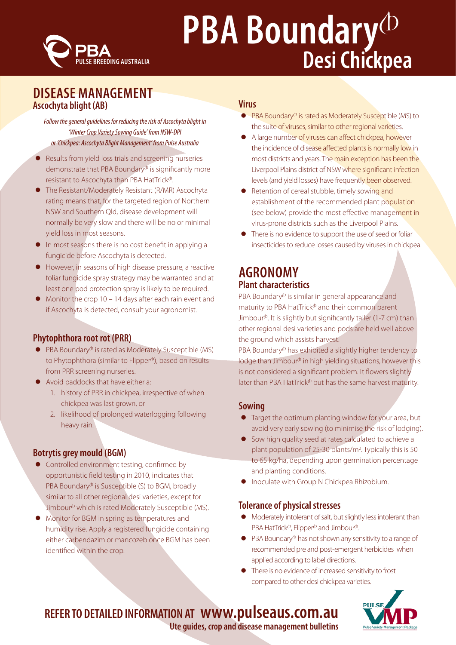

## **DISEASE MANAGEMENT Ascochyta blight (AB)**

*Follow the general guidelines for reducing the risk of Ascochyta blight in 'Winter Crop Variety Sowing Guide' from NSW-DPI or 'Chickpea: Ascochyta Blight Management' from Pulse Australia*

- Results from yield loss trials and screening nurseries demonstrate that PBA Boundary<sup>®</sup> is significantly more resistant to Ascochyta than PBA HatTrick<sup>®</sup>.
- The Resistant/Moderately Resistant (R/MR) Ascochyta rating means that, for the targeted region of Northern NSW and Southern Qld, disease development will normally be very slow and there will be no or minimal yield loss in most seasons.
- **•** In most seasons there is no cost benefit in applying a fungicide before Ascochyta is detected.
- z However, in seasons of high disease pressure, a reactive foliar fungicide spray strategy may be warranted and at least one pod protection spray is likely to be required.
- Monitor the crop  $10 14$  days after each rain event and if Ascochyta is detected, consult your agronomist.

### **Phytophthora root rot (PRR)**

- $\bullet$  PBA Boundary<sup> $\bullet$ </sup> is rated as Moderately Susceptible (MS) to Phytophthora (similar to Flipper<sup>®</sup>), based on results from PRR screening nurseries.
- Avoid paddocks that have either a:
	- 1. history of PRR in chickpea, irrespective of when chickpea was last grown, or
	- 2. likelihood of prolonged waterlogging following heavy rain.

## **Botrytis grey mould (BGM)**

- **•** Controlled environment testing, confirmed by opportunistic field testing in 2010, indicates that PBA Boundary<sup>®</sup> is Susceptible (S) to BGM, broadly similar to all other regional desi varieties, except for Jimbour<sup>®</sup> which is rated Moderately Susceptible (MS).
- Monitor for BGM in spring as temperatures and humidity rise. Apply a registered fungicide containing either carbendazim or mancozeb once BGM has been identified within the crop.

### **Virus**

- $\bullet$  PBA Boundary<sup> $\bullet$ </sup> is rated as Moderately Susceptible (MS) to the suite of viruses, similar to other regional varieties.
- A large number of viruses can affect chickpea, however the incidence of disease affected plants is normally low in most districts and years. The main exception has been the Liverpool Plains district of NSW where significant infection levels (and yield losses) have frequently been observed.
- Retention of cereal stubble, timely sowing and establishment of the recommended plant population (see below) provide the most effective management in virus-prone districts such as the Liverpool Plains.
- There is no evidence to support the use of seed or foliar insecticides to reduce losses caused by viruses in chickpea.

## **AGRONOMY Plant characteristics**

PBA Boundary<sup>®</sup> is similar in general appearance and maturity to PBA HatTrick $\Phi$  and their common parent Jimbour<sup>®</sup>. It is slightly but significantly taller (1-7 cm) than other regional desi varieties and pods are held well above the ground which assists harvest.

PBA Boundary<sup>®</sup> has exhibited a slightly higher tendency to  $\log$  lodge than Jimbour $\Phi$  in high yielding situations, however this is not considered a significant problem. It flowers slightly later than PBA HatTrick $\Phi$  but has the same harvest maturity.

### **Sowing**

- Target the optimum planting window for your area, but avoid very early sowing (to minimise the risk of lodging).
- **•** Sow high quality seed at rates calculated to achieve a plant population of 25-30 plants/m2 . Typically this is 50 to 65 kg/ha, depending upon germination percentage and planting conditions.
- Inoculate with Group N Chickpea Rhizobium.

### **Tolerance of physical stresses**

- Moderately intolerant of salt, but slightly less intolerant than PBA HatTrick<sup>®</sup>, Flipper<sup>®</sup> and Jimbour<sup>®</sup>.
- $\bullet$  PBA Boundary<sup> $\bullet$ </sup> has not shown any sensitivity to a range of recommended pre and post-emergent herbicides when applied according to label directions.
- There is no evidence of increased sensitivity to frost compared to other desi chickpea varieties.



## **REFER TO DETAILED INFORMATION AT www.pulseaus.com.au**

**Ute guides, crop and disease management bulletins**